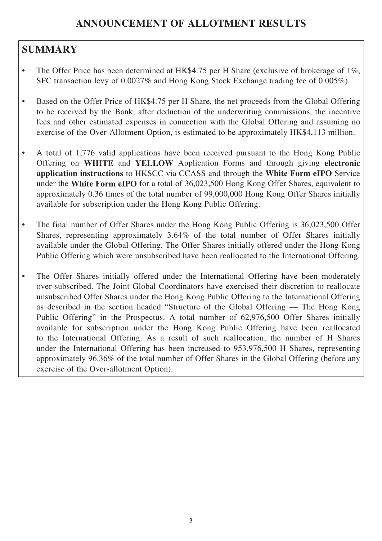## **SUMMARY**

- The Offer Price has been determined at HK\$4.75 per H Share (exclusive of brokerage of 1%, SFC transaction levy of 0.0027% and Hong Kong Stock Exchange trading fee of 0.005%).
- Based on the Offer Price of HK\$4.75 per H Share, the net proceeds from the Global Offering to be received by the Bank, after deduction of the underwriting commissions, the incentive fees and other estimated expenses in connection with the Global Offering and assuming no exercise of the Over-Allotment Option, is estimated to be approximately HK\$4,113 million.
- A total of 1,776 valid applications have been received pursuant to the Hong Kong Public Offering on **WHITE** and **YELLOW** Application Forms and through giving **electronic application instructions** to HKSCC via CCASS and through the **White Form eIPO** Service under the **White Form eIPO** for a total of 36,023,500 Hong Kong Offer Shares, equivalent to approximately 0.36 times of the total number of 99,000,000 Hong Kong Offer Shares initially available for subscription under the Hong Kong Public Offering.
- The final number of Offer Shares under the Hong Kong Public Offering is 36,023,500 Offer Shares, representing approximately 3.64% of the total number of Offer Shares initially available under the Global Offering. The Offer Shares initially offered under the Hong Kong Public Offering which were unsubscribed have been reallocated to the International Offering.
- The Offer Shares initially offered under the International Offering have been moderately over-subscribed. The Joint Global Coordinators have exercised their discretion to reallocate unsubscribed Offer Shares under the Hong Kong Public Offering to the International Offering as described in the section headed "Structure of the Global Offering — The Hong Kong Public Offering" in the Prospectus. A total number of 62,976,500 Offer Shares initially available for subscription under the Hong Kong Public Offering have been reallocated to the International Offering. As a result of such reallocation, the number of H Shares under the International Offering has been increased to 953,976,500 H Shares, representing approximately 96.36% of the total number of Offer Shares in the Global Offering (before any exercise of the Over-allotment Option).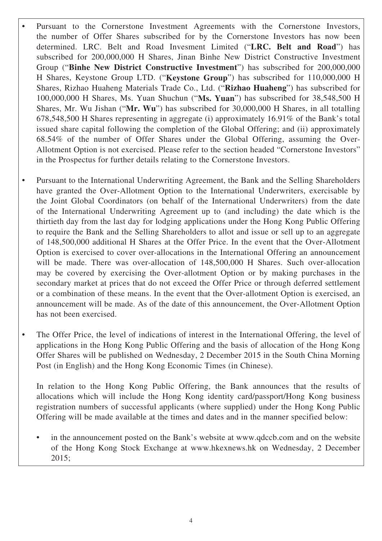- Pursuant to the Cornerstone Investment Agreements with the Cornerstone Investors, the number of Offer Shares subscribed for by the Cornerstone Investors has now been determined. LRC. Belt and Road Invesment Limited ("**LRC. Belt and Road**") has subscribed for 200,000,000 H Shares, Jinan Binhe New District Constructive Investment Group ("**Binhe New District Constructive Investment**") has subscribed for 200,000,000 H Shares, Keystone Group LTD. ("**Keystone Group**") has subscribed for 110,000,000 H Shares, Rizhao Huaheng Materials Trade Co., Ltd. ("**Rizhao Huaheng**") has subscribed for 100,000,000 H Shares, Ms. Yuan Shuchun ("**Ms. Yuan**") has subscribed for 38,548,500 H Shares, Mr. Wu Jishan ("**Mr. Wu**") has subscribed for 30,000,000 H Shares, in all totalling 678,548,500 H Shares representing in aggregate (i) approximately 16.91% of the Bank's total issued share capital following the completion of the Global Offering; and (ii) approximately 68.54% of the number of Offer Shares under the Global Offering, assuming the Over-Allotment Option is not exercised. Please refer to the section headed "Cornerstone Investors" in the Prospectus for further details relating to the Cornerstone Investors.
- Pursuant to the International Underwriting Agreement, the Bank and the Selling Shareholders have granted the Over-Allotment Option to the International Underwriters, exercisable by the Joint Global Coordinators (on behalf of the International Underwriters) from the date of the International Underwriting Agreement up to (and including) the date which is the thirtieth day from the last day for lodging applications under the Hong Kong Public Offering to require the Bank and the Selling Shareholders to allot and issue or sell up to an aggregate of 148,500,000 additional H Shares at the Offer Price. In the event that the Over-Allotment Option is exercised to cover over-allocations in the International Offering an announcement will be made. There was over-allocation of  $148,500,000$  H Shares. Such over-allocation may be covered by exercising the Over-allotment Option or by making purchases in the secondary market at prices that do not exceed the Offer Price or through deferred settlement or a combination of these means. In the event that the Over-allotment Option is exercised, an announcement will be made. As of the date of this announcement, the Over-Allotment Option has not been exercised.
- The Offer Price, the level of indications of interest in the International Offering, the level of applications in the Hong Kong Public Offering and the basis of allocation of the Hong Kong Offer Shares will be published on Wednesday, 2 December 2015 in the South China Morning Post (in English) and the Hong Kong Economic Times (in Chinese).

In relation to the Hong Kong Public Offering, the Bank announces that the results of allocations which will include the Hong Kong identity card/passport/Hong Kong business registration numbers of successful applicants (where supplied) under the Hong Kong Public Offering will be made available at the times and dates and in the manner specified below:

• in the announcement posted on the Bank's website at www.qdccb.com and on the website of the Hong Kong Stock Exchange at www.hkexnews.hk on Wednesday, 2 December 2015;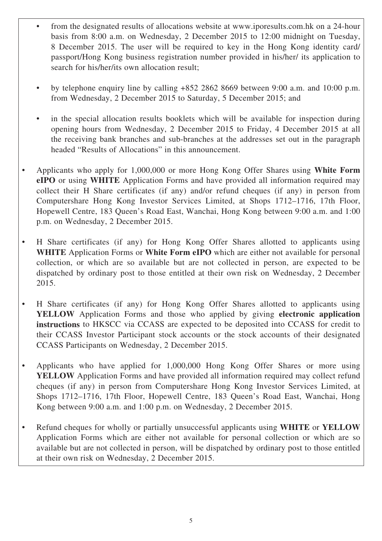- from the designated results of allocations website at www.iporesults.com.hk on a 24-hour basis from 8:00 a.m. on Wednesday, 2 December 2015 to 12:00 midnight on Tuesday, 8 December 2015. The user will be required to key in the Hong Kong identity card/ passport/Hong Kong business registration number provided in his/her/ its application to search for his/her/its own allocation result;
- by telephone enquiry line by calling +852 2862 8669 between 9:00 a.m. and 10:00 p.m. from Wednesday, 2 December 2015 to Saturday, 5 December 2015; and
- in the special allocation results booklets which will be available for inspection during opening hours from Wednesday, 2 December 2015 to Friday, 4 December 2015 at all the receiving bank branches and sub-branches at the addresses set out in the paragraph headed "Results of Allocations" in this announcement.
- Applicants who apply for 1,000,000 or more Hong Kong Offer Shares using **White Form eIPO** or using **WHITE** Application Forms and have provided all information required may collect their H Share certificates (if any) and/or refund cheques (if any) in person from Computershare Hong Kong Investor Services Limited, at Shops 1712–1716, 17th Floor, Hopewell Centre, 183 Queen's Road East, Wanchai, Hong Kong between 9:00 a.m. and 1:00 p.m. on Wednesday, 2 December 2015.
- H Share certificates (if any) for Hong Kong Offer Shares allotted to applicants using **WHITE** Application Forms or **White Form eIPO** which are either not available for personal collection, or which are so available but are not collected in person, are expected to be dispatched by ordinary post to those entitled at their own risk on Wednesday, 2 December 2015.
- H Share certificates (if any) for Hong Kong Offer Shares allotted to applicants using **YELLOW** Application Forms and those who applied by giving **electronic application instructions** to HKSCC via CCASS are expected to be deposited into CCASS for credit to their CCASS Investor Participant stock accounts or the stock accounts of their designated CCASS Participants on Wednesday, 2 December 2015.
- Applicants who have applied for 1,000,000 Hong Kong Offer Shares or more using **YELLOW** Application Forms and have provided all information required may collect refund cheques (if any) in person from Computershare Hong Kong Investor Services Limited, at Shops 1712–1716, 17th Floor, Hopewell Centre, 183 Queen's Road East, Wanchai, Hong Kong between 9:00 a.m. and 1:00 p.m. on Wednesday, 2 December 2015.
- Refund cheques for wholly or partially unsuccessful applicants using **WHITE** or **YELLOW** Application Forms which are either not available for personal collection or which are so available but are not collected in person, will be dispatched by ordinary post to those entitled at their own risk on Wednesday, 2 December 2015.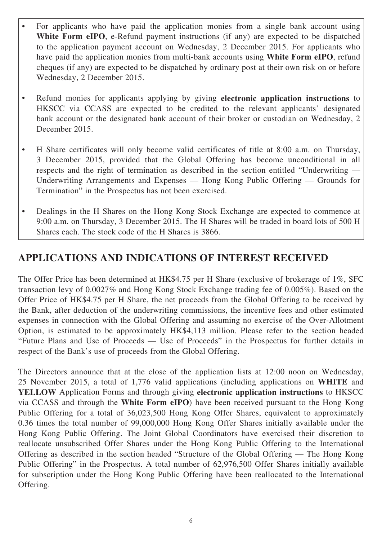- For applicants who have paid the application monies from a single bank account using **White Form eIPO**, e-Refund payment instructions (if any) are expected to be dispatched to the application payment account on Wednesday, 2 December 2015. For applicants who have paid the application monies from multi-bank accounts using **White Form eIPO**, refund cheques (if any) are expected to be dispatched by ordinary post at their own risk on or before Wednesday, 2 December 2015.
- Refund monies for applicants applying by giving **electronic application instructions** to HKSCC via CCASS are expected to be credited to the relevant applicants' designated bank account or the designated bank account of their broker or custodian on Wednesday, 2 December 2015.
- H Share certificates will only become valid certificates of title at 8:00 a.m. on Thursday, 3 December 2015, provided that the Global Offering has become unconditional in all respects and the right of termination as described in the section entitled "Underwriting — Underwriting Arrangements and Expenses — Hong Kong Public Offering — Grounds for Termination" in the Prospectus has not been exercised.
- Dealings in the H Shares on the Hong Kong Stock Exchange are expected to commence at 9:00 a.m. on Thursday, 3 December 2015. The H Shares will be traded in board lots of 500 H Shares each. The stock code of the H Shares is 3866.

## **APPLICATIONS AND INDICATIONS OF INTEREST RECEIVED**

The Offer Price has been determined at HK\$4.75 per H Share (exclusive of brokerage of 1%, SFC transaction levy of 0.0027% and Hong Kong Stock Exchange trading fee of 0.005%). Based on the Offer Price of HK\$4.75 per H Share, the net proceeds from the Global Offering to be received by the Bank, after deduction of the underwriting commissions, the incentive fees and other estimated expenses in connection with the Global Offering and assuming no exercise of the Over-Allotment Option, is estimated to be approximately HK\$4,113 million. Please refer to the section headed "Future Plans and Use of Proceeds — Use of Proceeds" in the Prospectus for further details in respect of the Bank's use of proceeds from the Global Offering.

The Directors announce that at the close of the application lists at 12:00 noon on Wednesday, 25 November 2015, a total of 1,776 valid applications (including applications on **WHITE** and **YELLOW** Application Forms and through giving **electronic application instructions** to HKSCC via CCASS and through the **White Form eIPO**) have been received pursuant to the Hong Kong Public Offering for a total of 36,023,500 Hong Kong Offer Shares, equivalent to approximately 0.36 times the total number of 99,000,000 Hong Kong Offer Shares initially available under the Hong Kong Public Offering. The Joint Global Coordinators have exercised their discretion to reallocate unsubscribed Offer Shares under the Hong Kong Public Offering to the International Offering as described in the section headed "Structure of the Global Offering — The Hong Kong Public Offering" in the Prospectus. A total number of 62,976,500 Offer Shares initially available for subscription under the Hong Kong Public Offering have been reallocated to the International Offering.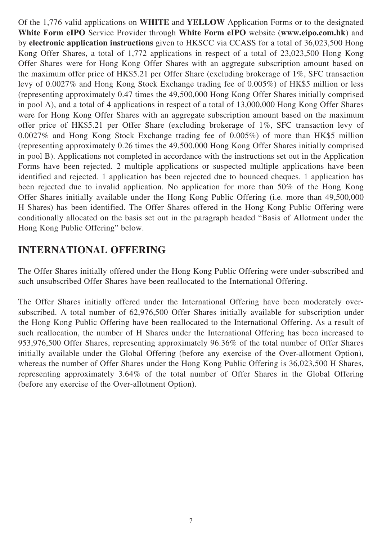Of the 1,776 valid applications on **WHITE** and **YELLOW** Application Forms or to the designated **White Form eIPO** Service Provider through **White Form eIPO** website (**www.eipo.com.hk**) and by **electronic application instructions** given to HKSCC via CCASS for a total of 36,023,500 Hong Kong Offer Shares, a total of 1,772 applications in respect of a total of 23,023,500 Hong Kong Offer Shares were for Hong Kong Offer Shares with an aggregate subscription amount based on the maximum offer price of HK\$5.21 per Offer Share (excluding brokerage of 1%, SFC transaction levy of 0.0027% and Hong Kong Stock Exchange trading fee of 0.005%) of HK\$5 million or less (representing approximately 0.47 times the 49,500,000 Hong Kong Offer Shares initially comprised in pool A), and a total of 4 applications in respect of a total of 13,000,000 Hong Kong Offer Shares were for Hong Kong Offer Shares with an aggregate subscription amount based on the maximum offer price of HK\$5.21 per Offer Share (excluding brokerage of 1%, SFC transaction levy of 0.0027% and Hong Kong Stock Exchange trading fee of 0.005%) of more than HK\$5 million (representing approximately 0.26 times the 49,500,000 Hong Kong Offer Shares initially comprised in pool B). Applications not completed in accordance with the instructions set out in the Application Forms have been rejected. 2 multiple applications or suspected multiple applications have been identified and rejected. 1 application has been rejected due to bounced cheques. 1 application has been rejected due to invalid application. No application for more than 50% of the Hong Kong Offer Shares initially available under the Hong Kong Public Offering (i.e. more than 49,500,000 H Shares) has been identified. The Offer Shares offered in the Hong Kong Public Offering were conditionally allocated on the basis set out in the paragraph headed "Basis of Allotment under the Hong Kong Public Offering" below.

## **INTERNATIONAL OFFERING**

The Offer Shares initially offered under the Hong Kong Public Offering were under-subscribed and such unsubscribed Offer Shares have been reallocated to the International Offering.

The Offer Shares initially offered under the International Offering have been moderately oversubscribed. A total number of 62,976,500 Offer Shares initially available for subscription under the Hong Kong Public Offering have been reallocated to the International Offering. As a result of such reallocation, the number of H Shares under the International Offering has been increased to 953,976,500 Offer Shares, representing approximately 96.36% of the total number of Offer Shares initially available under the Global Offering (before any exercise of the Over-allotment Option), whereas the number of Offer Shares under the Hong Kong Public Offering is 36,023,500 H Shares, representing approximately 3.64% of the total number of Offer Shares in the Global Offering (before any exercise of the Over-allotment Option).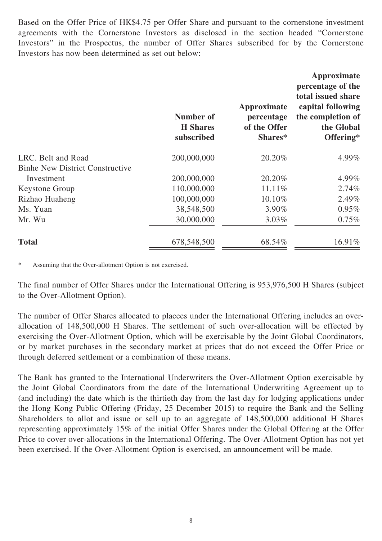Based on the Offer Price of HK\$4.75 per Offer Share and pursuant to the cornerstone investment agreements with the Cornerstone Investors as disclosed in the section headed "Cornerstone Investors" in the Prospectus, the number of Offer Shares subscribed for by the Cornerstone Investors has now been determined as set out below:

|                                        | Number of<br><b>H</b> Shares<br>subscribed | Approximate<br>percentage<br>of the Offer<br>Shares* | Approximate<br>percentage of the<br>total issued share<br>capital following<br>the completion of<br>the Global<br>Offering* |
|----------------------------------------|--------------------------------------------|------------------------------------------------------|-----------------------------------------------------------------------------------------------------------------------------|
| LRC. Belt and Road                     | 200,000,000                                | 20.20%                                               | 4.99%                                                                                                                       |
| <b>Binhe New District Constructive</b> |                                            |                                                      |                                                                                                                             |
| Investment                             | 200,000,000                                | 20.20%                                               | 4.99%                                                                                                                       |
| Keystone Group                         | 110,000,000                                | 11.11%                                               | 2.74%                                                                                                                       |
| Rizhao Huaheng                         | 100,000,000                                | 10.10%                                               | 2.49%                                                                                                                       |
| Ms. Yuan                               | 38,548,500                                 | 3.90%                                                | $0.95\%$                                                                                                                    |
| Mr. Wu                                 | 30,000,000                                 | 3.03%                                                | $0.75\%$                                                                                                                    |
| <b>Total</b>                           | 678,548,500                                | 68.54%                                               | 16.91%                                                                                                                      |

\* Assuming that the Over-allotment Option is not exercised.

The final number of Offer Shares under the International Offering is 953,976,500 H Shares (subject to the Over-Allotment Option).

The number of Offer Shares allocated to placees under the International Offering includes an overallocation of 148,500,000 H Shares. The settlement of such over-allocation will be effected by exercising the Over-Allotment Option, which will be exercisable by the Joint Global Coordinators, or by market purchases in the secondary market at prices that do not exceed the Offer Price or through deferred settlement or a combination of these means.

The Bank has granted to the International Underwriters the Over-Allotment Option exercisable by the Joint Global Coordinators from the date of the International Underwriting Agreement up to (and including) the date which is the thirtieth day from the last day for lodging applications under the Hong Kong Public Offering (Friday, 25 December 2015) to require the Bank and the Selling Shareholders to allot and issue or sell up to an aggregate of 148,500,000 additional H Shares representing approximately 15% of the initial Offer Shares under the Global Offering at the Offer Price to cover over-allocations in the International Offering. The Over-Allotment Option has not yet been exercised. If the Over-Allotment Option is exercised, an announcement will be made.